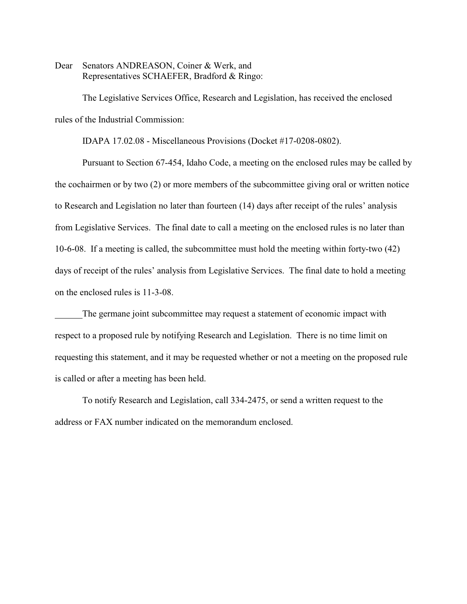Dear Senators ANDREASON, Coiner & Werk, and Representatives SCHAEFER, Bradford & Ringo:

The Legislative Services Office, Research and Legislation, has received the enclosed rules of the Industrial Commission:

IDAPA 17.02.08 - Miscellaneous Provisions (Docket #17-0208-0802).

Pursuant to Section 67-454, Idaho Code, a meeting on the enclosed rules may be called by the cochairmen or by two (2) or more members of the subcommittee giving oral or written notice to Research and Legislation no later than fourteen (14) days after receipt of the rules' analysis from Legislative Services. The final date to call a meeting on the enclosed rules is no later than 10-6-08. If a meeting is called, the subcommittee must hold the meeting within forty-two (42) days of receipt of the rules' analysis from Legislative Services. The final date to hold a meeting on the enclosed rules is 11-3-08.

The germane joint subcommittee may request a statement of economic impact with respect to a proposed rule by notifying Research and Legislation. There is no time limit on requesting this statement, and it may be requested whether or not a meeting on the proposed rule is called or after a meeting has been held.

To notify Research and Legislation, call 334-2475, or send a written request to the address or FAX number indicated on the memorandum enclosed.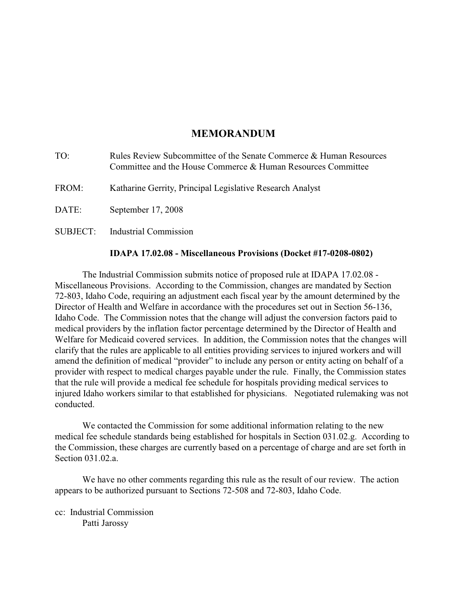# **MEMORANDUM**

| TO:      | Rules Review Subcommittee of the Senate Commerce & Human Resources<br>Committee and the House Commerce & Human Resources Committee |
|----------|------------------------------------------------------------------------------------------------------------------------------------|
| FROM:    | Katharine Gerrity, Principal Legislative Research Analyst                                                                          |
| DATE:    | September 17, 2008                                                                                                                 |
| SUBJECT: | <b>Industrial Commission</b>                                                                                                       |

# **IDAPA 17.02.08 - Miscellaneous Provisions (Docket #17-0208-0802)**

The Industrial Commission submits notice of proposed rule at IDAPA 17.02.08 - Miscellaneous Provisions. According to the Commission, changes are mandated by Section 72-803, Idaho Code, requiring an adjustment each fiscal year by the amount determined by the Director of Health and Welfare in accordance with the procedures set out in Section 56-136, Idaho Code. The Commission notes that the change will adjust the conversion factors paid to medical providers by the inflation factor percentage determined by the Director of Health and Welfare for Medicaid covered services. In addition, the Commission notes that the changes will clarify that the rules are applicable to all entities providing services to injured workers and will amend the definition of medical "provider" to include any person or entity acting on behalf of a provider with respect to medical charges payable under the rule. Finally, the Commission states that the rule will provide a medical fee schedule for hospitals providing medical services to injured Idaho workers similar to that established for physicians. Negotiated rulemaking was not conducted.

We contacted the Commission for some additional information relating to the new medical fee schedule standards being established for hospitals in Section 031.02.g. According to the Commission, these charges are currently based on a percentage of charge and are set forth in Section 031.02.a.

We have no other comments regarding this rule as the result of our review. The action appears to be authorized pursuant to Sections 72-508 and 72-803, Idaho Code.

cc: Industrial Commission Patti Jarossy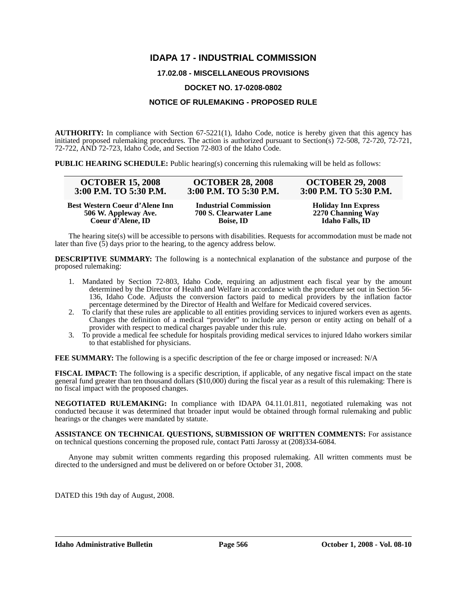# **IDAPA 17 - INDUSTRIAL COMMISSION**

# **17.02.08 - MISCELLANEOUS PROVISIONS**

## **DOCKET NO. 17-0208-0802**

# **NOTICE OF RULEMAKING - PROPOSED RULE**

**AUTHORITY:** In compliance with Section 67-5221(1), Idaho Code, notice is hereby given that this agency has initiated proposed rulemaking procedures. The action is authorized pursuant to Section(s)  $72-508$ ,  $72-720$ ,  $72-721$ , 72-722, AND 72-723, Idaho Code, and Section 72-803 of the Idaho Code.

**PUBLIC HEARING SCHEDULE:** Public hearing(s) concerning this rulemaking will be held as follows:

| <b>OCTOBER 15, 2008</b>        | <b>OCTOBER 28, 2008</b>      | <b>OCTOBER 29, 2008</b>    |
|--------------------------------|------------------------------|----------------------------|
| 3:00 P.M. TO 5:30 P.M.         | 3:00 P.M. TO 5:30 P.M.       | 3:00 P.M. TO 5:30 P.M.     |
| Best Western Coeur d'Alene Inn | <b>Industrial Commission</b> | <b>Holiday Inn Express</b> |
| 506 W. Appleway Ave.           | 700 S. Clearwater Lane       | 2270 Channing Way          |
| Coeur d'Alene, ID              | <b>Boise, ID</b>             | <b>Idaho Falls, ID</b>     |

The hearing site(s) will be accessible to persons with disabilities. Requests for accommodation must be made not later than five  $(5)$  days prior to the hearing, to the agency address below.

**DESCRIPTIVE SUMMARY:** The following is a nontechnical explanation of the substance and purpose of the proposed rulemaking:

- 1. Mandated by Section 72-803, Idaho Code, requiring an adjustment each fiscal year by the amount determined by the Director of Health and Welfare in accordance with the procedure set out in Section 56- 136, Idaho Code. Adjusts the conversion factors paid to medical providers by the inflation factor percentage determined by the Director of Health and Welfare for Medicaid covered services.
- 2. To clarify that these rules are applicable to all entities providing services to injured workers even as agents. Changes the definition of a medical "provider" to include any person or entity acting on behalf of a provider with respect to medical charges payable under this rule.
- 3. To provide a medical fee schedule for hospitals providing medical services to injured Idaho workers similar to that established for physicians.

**FEE SUMMARY:** The following is a specific description of the fee or charge imposed or increased: N/A

**FISCAL IMPACT:** The following is a specific description, if applicable, of any negative fiscal impact on the state general fund greater than ten thousand dollars (\$10,000) during the fiscal year as a result of this rulemaking: There is no fiscal impact with the proposed changes.

**NEGOTIATED RULEMAKING:** In compliance with IDAPA 04.11.01.811, negotiated rulemaking was not conducted because it was determined that broader input would be obtained through formal rulemaking and public hearings or the changes were mandated by statute.

**ASSISTANCE ON TECHNICAL QUESTIONS, SUBMISSION OF WRITTEN COMMENTS:** For assistance on technical questions concerning the proposed rule, contact Patti Jarossy at (208)334-6084.

Anyone may submit written comments regarding this proposed rulemaking. All written comments must be directed to the undersigned and must be delivered on or before October 31, 2008.

DATED this 19th day of August, 2008.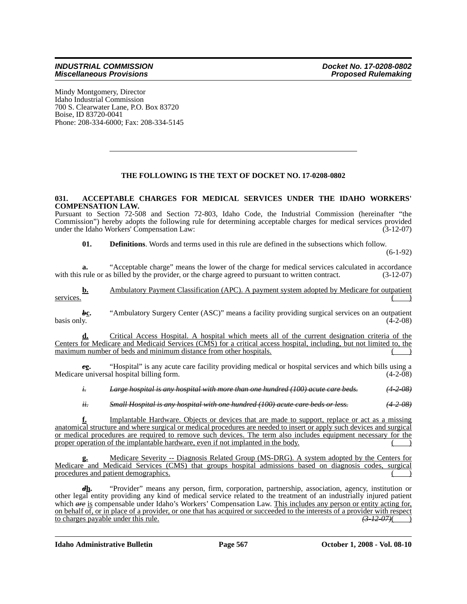Mindy Montgomery, Director Idaho Industrial Commission 700 S. Clearwater Lane, P.O. Box 83720 Boise, ID 83720-0041 Phone: 208-334-6000; Fax: 208-334-5145

# **THE FOLLOWING IS THE TEXT OF DOCKET NO. 17-0208-0802**

#### **031. ACCEPTABLE CHARGES FOR MEDICAL SERVICES UNDER THE IDAHO WORKERS' COMPENSATION LAW.**

Pursuant to Section 72-508 and Section 72-803, Idaho Code, the Industrial Commission (hereinafter "the Commission") hereby adopts the following rule for determining acceptable charges for medical services provided under the Idaho Workers' Compensation Law: (3-12-07)

**01. Definitions**. Words and terms used in this rule are defined in the subsections which follow.

(6-1-92)

**a.** "Acceptable charge" means the lower of the charge for medical services calculated in accordance with this rule or as billed by the provider, or the charge agreed to pursuant to written contract. (3-12-07)

**b.** Ambulatory Payment Classification (APC). A payment system adopted by Medicare for outpatient services.  $\left(\begin{array}{cc} \overline{1} & \overline{1} \\ \overline{1} & \overline{1} \end{array}\right)$ 

**bc.** "Ambulatory Surgery Center (ASC)" means a facility providing surgical services on an outpatient basis only.  $(4-2-08)$  $basis$  only.  $(4-2-08)$ 

**d.** Critical Access Hospital. A hospital which meets all of the current designation criteria of the Centers for Medicare and Medicaid Services (CMS) for a critical access hospital, including, but not limited to, the maximum number of beds and minimum distance from other hospitals.

*c***e.** "Hospital" is any acute care facility providing medical or hospital services and which bills using a Medicare universal hospital billing form.  $(4-2-08)$ 

*i. Large hospital is any hospital with more than one hundred (100) acute care beds. (4-2-08)*

*ii. Small Hospital is any hospital with one hundred (100) acute care beds or less. (4-2-08)*

**f.** Implantable Hardware. Objects or devices that are made to support, replace or act as a missing anatomical structure and where surgical or medical procedures are needed to insert or apply such devices and surgical or medical procedures are required to remove such devices. The term also includes equipment necessary for the proper operation of the implantable hardware, even if not implanted in the body. ( )

**g.** Medicare Severity -- Diagnosis Related Group (MS-DRG). A system adopted by the Centers for Medicare and Medicaid Services (CMS) that groups hospital admissions based on diagnosis codes, surgical procedures and patient demographics.

*d***h.** "Provider" means any person, firm, corporation, partnership, association, agency, institution or other legal entity providing any kind of medical service related to the treatment of an industrially injured patient which *are* is compensable under Idaho's Workers' Compensation Law. This includes any person or entity acting for, on behalf of, or in place of a provider, or one that has acquired or succeeded to the interests of a provider with respect to charges payable under this rule. *(3-12-07)*(*3-12-07)*(*3-12-07)*(*3-12-07)*(*3-12-07)*(*3-12-07)*(*3-12-07)*(*3-12-07)*(*3-12-07)*(*3-12-07)*(*3-12-07)*(*3-12-07)*(*3-12-07)*(*3-12-07)*(*3-12-07)*(*3-12-07)*(*3-12-07)* 

**Idaho Administrative Bulletin Page 567 October 1, 2008 - Vol. 08-10**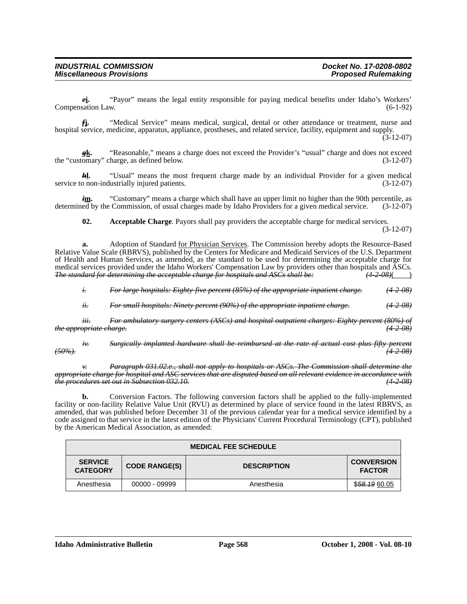*e***i.** "Payor" means the legal entity responsible for paying medical benefits under Idaho's Workers' Compensation Law. (6-1-92)

*f***j.** "Medical Service" means medical, surgical, dental or other attendance or treatment, nurse and hospital service, medicine, apparatus, appliance, prostheses, and related service, facility, equipment and supply.

(3-12-07)

*g***k.** "Reasonable," means a charge does not exceed the Provider's "usual" charge and does not exceed the "customary" charge, as defined below. (3-12-07)

*h***l.** "Usual" means the most frequent charge made by an individual Provider for a given medical po non-industrially injured patients. (3-12-07) service to non-industrially injured patients.

*i***m.** "Customary" means a charge which shall have an upper limit no higher than the 90th percentile, as determined by the Commission, of usual charges made by Idaho Providers for a given medical service. (3-12-07)

**02. Acceptable Charge**. Payors shall pay providers the acceptable charge for medical services.

(3-12-07)

**a.** Adoption of Standard for Physician Services. The Commission hereby adopts the Resource-Based Relative Value Scale (RBRVS), published by the Centers for Medicare and Medicaid Services of the U.S. Department of Health and Human Services, as amended, as the standard to be used for determining the acceptable charge for medical services provided under the Idaho Workers' Compensation Law by providers other than hospitals and ASCs.<br>The standard for determining the acceptable charge for hospitals and ASCs shall be:  $(4-2-08)$ *The standard for determining the acceptable charge for hospitals and ASCs shall be:* 

*i. For large hospitals: Eighty-five percent (85%) of the appropriate inpatient charge. (4-2-08)*

*ii. For small hospitals: Ninety percent (90%) of the appropriate inpatient charge. (4-2-08)*

*iii. For ambulatory surgery centers (ASCs) and hospital outpatient charges: Eighty percent (80%) of the appropriate charge. (4-2-08)*

*iv. Surgically implanted hardware shall be reimbursed at the rate of actual cost plus fifty percent (50%). (4-2-08)*

*v. Paragraph 031.02.e., shall not apply to hospitals or ASCs. The Commission shall determine the appropriate charge for hospital and ASC services that are disputed based on all relevant evidence in accordance with the procedures set out in Subsection 032.10. (4-2-08)*

**b.** Conversion Factors. The following conversion factors shall be applied to the fully-implemented facility or non-facility Relative Value Unit (RVU) as determined by place of service found in the latest RBRVS, as amended, that was published before December 31 of the previous calendar year for a medical service identified by a code assigned to that service in the latest edition of the Physicians' Current Procedural Terminology (CPT), published by the American Medical Association, as amended:

| <b>MEDICAL FEE SCHEDULE</b>       |                      |                    |                                    |
|-----------------------------------|----------------------|--------------------|------------------------------------|
| <b>SERVICE</b><br><b>CATEGORY</b> | <b>CODE RANGE(S)</b> | <b>DESCRIPTION</b> | <b>CONVERSION</b><br><b>FACTOR</b> |
| Anesthesia                        | 00000 - 09999        | Anesthesia         | \$58.1960.05                       |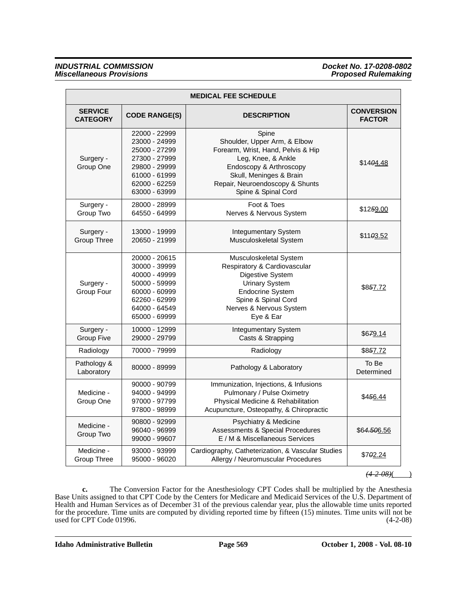### *INDUSTRIAL COMMISSION Docket No. 17-0208-0802 Miscellaneous Provisions*

| <b>MEDICAL FEE SCHEDULE</b>       |                                                                                                                                      |                                                                                                                                                                                                                   |                                    |
|-----------------------------------|--------------------------------------------------------------------------------------------------------------------------------------|-------------------------------------------------------------------------------------------------------------------------------------------------------------------------------------------------------------------|------------------------------------|
| <b>SERVICE</b><br><b>CATEGORY</b> | <b>CODE RANGE(S)</b>                                                                                                                 | <b>DESCRIPTION</b>                                                                                                                                                                                                | <b>CONVERSION</b><br><b>FACTOR</b> |
| Surgery -<br>Group One            | 22000 - 22999<br>23000 - 24999<br>25000 - 27299<br>27300 - 27999<br>29800 - 29999<br>61000 - 61999<br>62000 - 62259<br>63000 - 63999 | Spine<br>Shoulder, Upper Arm, & Elbow<br>Forearm, Wrist, Hand, Pelvis & Hip<br>Leg, Knee, & Ankle<br>Endoscopy & Arthroscopy<br>Skull, Meninges & Brain<br>Repair, Neuroendoscopy & Shunts<br>Spine & Spinal Cord | \$1404.48                          |
| Surgery -<br>Group Two            | 28000 - 28999<br>64550 - 64999                                                                                                       | Foot & Toes<br>Nerves & Nervous System                                                                                                                                                                            | \$1259.00                          |
| Surgery -<br>Group Three          | 13000 - 19999<br>20650 - 21999                                                                                                       | Integumentary System<br>Musculoskeletal System                                                                                                                                                                    | \$1103.52                          |
| Surgery -<br>Group Four           | 20000 - 20615<br>30000 - 39999<br>40000 - 49999<br>50000 - 59999<br>60000 - 60999<br>62260 - 62999<br>64000 - 64549<br>65000 - 69999 | Musculoskeletal System<br>Respiratory & Cardiovascular<br>Digestive System<br><b>Urinary System</b><br><b>Endocrine System</b><br>Spine & Spinal Cord<br>Nerves & Nervous System<br>Eye & Ear                     | \$857.72                           |
| Surgery -<br><b>Group Five</b>    | 10000 - 12999<br>29000 - 29799                                                                                                       | Integumentary System<br>Casts & Strapping                                                                                                                                                                         | \$679.14                           |
| Radiology                         | 70000 - 79999                                                                                                                        | Radiology                                                                                                                                                                                                         | \$857.72                           |
| Pathology &<br>Laboratory         | 80000 - 89999                                                                                                                        | Pathology & Laboratory                                                                                                                                                                                            | To Be<br>Determined                |
| Medicine -<br>Group One           | 90000 - 90799<br>94000 - 94999<br>97000 - 97799<br>97800 - 98999                                                                     | Immunization, Injections, & Infusions<br>Pulmonary / Pulse Oximetry<br>Physical Medicine & Rehabilitation<br>Acupuncture, Osteopathy, & Chiropractic                                                              | \$456.44                           |
| Medicine -<br>Group Two           | 90800 - 92999<br>96040 - 96999<br>99000 - 99607                                                                                      | Psychiatry & Medicine<br>Assessments & Special Procedures<br>E / M & Miscellaneous Services                                                                                                                       | \$64.506.56                        |
| Medicine -<br>Group Three         | 93000 - 93999<br>95000 - 96020                                                                                                       | Cardiography, Catheterization, & Vascular Studies<br>Allergy / Neuromuscular Procedures                                                                                                                           | \$702.24                           |

 $(4.2 \t08)$ ()

**c.** The Conversion Factor for the Anesthesiology CPT Codes shall be multiplied by the Anesthesia Base Units assigned to that CPT Code by the Centers for Medicare and Medicaid Services of the U.S. Department of Health and Human Services as of December 31 of the previous calendar year, plus the allowable time units reported for the procedure. Time units are computed by dividing reported time by fifteen (15) minutes. Time units will not be used for CPT Code 01996.  $(4-2-08)$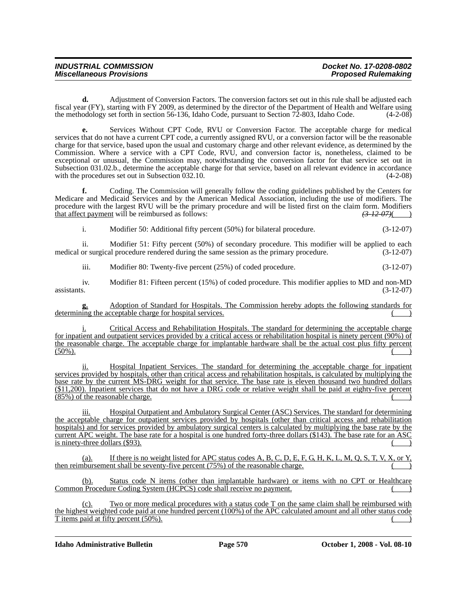| <b>INDUSTRIAL COMMISSION</b>    | Docket No. 17-0208-0802    |
|---------------------------------|----------------------------|
| <b>Miscellaneous Provisions</b> | <b>Proposed Rulemaking</b> |

**d.** Adjustment of Conversion Factors. The conversion factors set out in this rule shall be adjusted each fiscal year (FY), starting with FY 2009, as determined by the director of the Department of Health and Welfare using the methodology set forth in section 56-136, Idaho Code, pursuant to Section 72-803, Idaho Code. (4-2-08)

**e.** Services Without CPT Code, RVU or Conversion Factor. The acceptable charge for medical services that do not have a current CPT code, a currently assigned RVU, or a conversion factor will be the reasonable charge for that service, based upon the usual and customary charge and other relevant evidence, as determined by the Commission. Where a service with a CPT Code, RVU, and conversion factor is, nonetheless, claimed to be exceptional or unusual, the Commission may, notwithstanding the conversion factor for that service set out in Subsection 031.02.b., determine the acceptable charge for that service, based on all relevant evidence in accordance with the procedures set out in Subsection 032.10. (4-2-08)

**f.** Coding. The Commission will generally follow the coding guidelines published by the Centers for Medicare and Medicaid Services and by the American Medical Association, including the use of modifiers. The procedure with the largest RVU will be the primary procedure and will be listed first on the claim form. Modifiers that affect payment will be reimbursed as follows:  $\left( \frac{37207}{2} \right)^2$ that affect payment will be reimbursed as follows:

i. Modifier 50: Additional fifty percent (50%) for bilateral procedure. (3-12-07)

ii. Modifier 51: Fifty percent (50%) of secondary procedure. This modifier will be applied to each or surgical procedure rendered during the same session as the primary procedure. (3-12-07) medical or surgical procedure rendered during the same session as the primary procedure.

iii. Modifier 80: Twenty-five percent (25%) of coded procedure. (3-12-07)

iv. Modifier 81: Fifteen percent (15%) of coded procedure. This modifier applies to MD and non-MD assistants.  $(3-12-07)$ 

**g.** Adoption of Standard for Hospitals. The Commission hereby adopts the following standards for determining the acceptable charge for hospital services.

i. Critical Access and Rehabilitation Hospitals. The standard for determining the acceptable charge for inpatient and outpatient services provided by a critical access or rehabilitation hospital is ninety percent (90%) of the reasonable charge. The acceptable charge for implantable hardware shall be the actual cost plus fifty percent  $(50\%)$ .  $(50\%)$ .

ii. Hospital Inpatient Services. The standard for determining the acceptable charge for inpatient services provided by hospitals, other than critical access and rehabilitation hospitals, is calculated by multiplying the base rate by the current MS-DRG weight for that service. The base rate is eleven thousand two hundred dollars (\$11,200). Inpatient services that do not have a DRG code or relative weight shall be paid at eighty-five percent  $(85%)$  of the reasonable charge.

iii. Hospital Outpatient and Ambulatory Surgical Center (ASC) Services. The standard for determining the acceptable charge for outpatient services provided by hospitals (other than critical access and rehabilitation hospitals) and for services provided by ambulatory surgical centers is calculated by multiplying the base rate by the current APC weight. The base rate for a hospital is one hundred forty-three dollars (\$143). The base rate for an ASC is ninety-three dollars  $(\$93)$ .

(a). If there is no weight listed for APC status codes A, B, C, D, E, F, G, H, K, L, M, Q, S, T, V, X, or Y, then reimbursement shall be seventy-five percent  $(75%)$  of the reasonable charge.

Status code N items (other than implantable hardware) or items with no CPT or Healthcare Common Procedure Coding System (HCPCS) code shall receive no payment.

(c). Two or more medical procedures with a status code T on the same claim shall be reimbursed with the highest weighted code paid at one hundred percent (100%) of the APC calculated amount and all other status code T items paid at fifty percent  $(50\%)$ .

**Idaho Administrative Bulletin Page 570 October 1, 2008 - Vol. 08-10**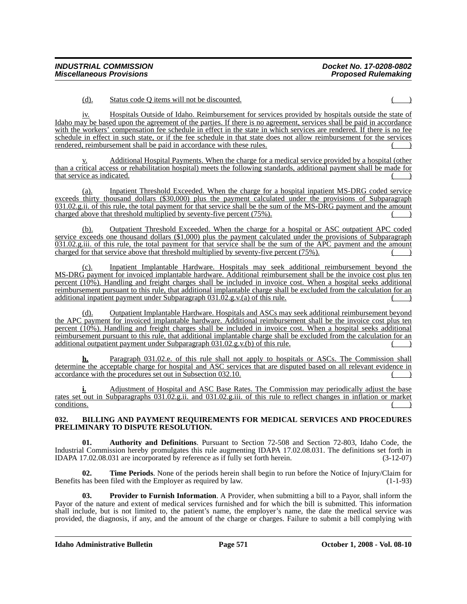(d). Status code Q items will not be discounted. ( )

iv. Hospitals Outside of Idaho. Reimbursement for services provided by hospitals outside the state of Idaho may be based upon the agreement of the parties. If there is no agreement, services shall be paid in accordance with the workers' compensation fee schedule in effect in the state in which services are rendered. If there is no fee schedule in effect in such state, or if the fee schedule in that state does not allow reimbursement for the services rendered, reimbursement shall be paid in accordance with these rules.

Additional Hospital Payments. When the charge for a medical service provided by a hospital (other than a critical access or rehabilitation hospital) meets the following standards, additional payment shall be made for that service as indicated.

(a). Inpatient Threshold Exceeded. When the charge for a hospital inpatient MS-DRG coded service exceeds thirty thousand dollars (\$30,000) plus the payment calculated under the provisions of Subparagraph 031.02.g.ii. of this rule, the total payment for that service shall be the sum of the MS-DRG payment and the amount charged above that threshold multiplied by seventy-five percent  $(75\%)$ .

(b). Outpatient Threshold Exceeded. When the charge for a hospital or ASC outpatient APC coded service exceeds one thousand dollars (\$1,000) plus the payment calculated under the provisions of Subparagraph 031.02.g.iii. of this rule, the total payment for that service shall be the sum of the APC payment and the amount charged for that service above that threshold multiplied by seventy-five percent  $(75\%)$ .

(c). Inpatient Implantable Hardware. Hospitals may seek additional reimbursement beyond the MS-DRG payment for invoiced implantable hardware. Additional reimbursement shall be the invoice cost plus ten percent (10%). Handling and freight charges shall be included in invoice cost. When a hospital seeks additional reimbursement pursuant to this rule, that additional implantable charge shall be excluded from the calculation for an additional inpatient payment under Subparagraph  $031.02$ .g.v. $(a)$  of this rule.

(d). Outpatient Implantable Hardware. Hospitals and ASCs may seek additional reimbursement beyond the APC payment for invoiced implantable hardware. Additional reimbursement shall be the invoice cost plus ten percent (10%). Handling and freight charges shall be included in invoice cost. When a hospital seeks additional reimbursement pursuant to this rule, that additional implantable charge shall be excluded from the calculation for an additional outpatient payment under Subparagraph  $031.02$ .g.v.(b) of this rule.

**h.** Paragraph 031.02.e. of this rule shall not apply to hospitals or ASCs. The Commission shall determine the acceptable charge for hospital and ASC services that are disputed based on all relevant evidence in accordance with the procedures set out in Subsection 032.10.

Adjustment of Hospital and ASC Base Rates. The Commission may periodically adjust the base rates set out in Subparagraphs 031.02.g.ii. and 031.02.g.iii. of this rule to reflect changes in inflation or market conditions. ( )

## **032. BILLING AND PAYMENT REQUIREMENTS FOR MEDICAL SERVICES AND PROCEDURES PRELIMINARY TO DISPUTE RESOLUTION.**

**01. Authority and Definitions**. Pursuant to Section 72-508 and Section 72-803, Idaho Code, the Industrial Commission hereby promulgates this rule augmenting IDAPA 17.02.08.031. The definitions set forth in IDAPA 17.02.08.031 are incorporated by reference as if fully set forth herein. (3-12-07)

**02. Time Periods**. None of the periods herein shall begin to run before the Notice of Injury/Claim for Benefits has been filed with the Employer as required by law. (1-1-93)

**03. Provider to Furnish Information**. A Provider, when submitting a bill to a Payor, shall inform the Payor of the nature and extent of medical services furnished and for which the bill is submitted. This information shall include, but is not limited to, the patient's name, the employer's name, the date the medical service was provided, the diagnosis, if any, and the amount of the charge or charges. Failure to submit a bill complying with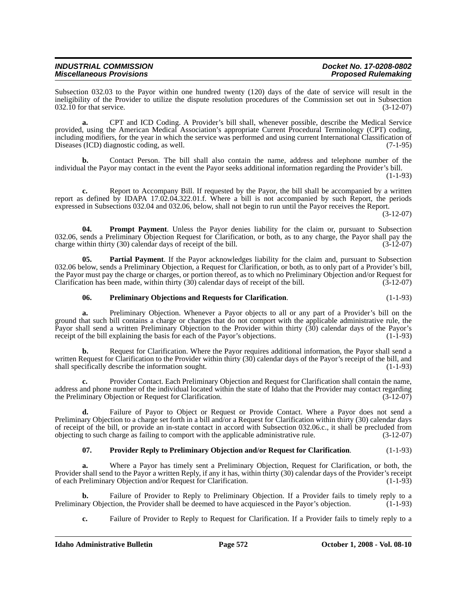| <b>INDUSTRIAL COMMISSION</b>    | Docket No. 17-0208-0802    |
|---------------------------------|----------------------------|
| <b>Miscellaneous Provisions</b> | <b>Proposed Rulemaking</b> |

Subsection 032.03 to the Payor within one hundred twenty (120) days of the date of service will result in the ineligibility of the Provider to utilize the dispute resolution procedures of the Commission set out in Subsection  $032.10$  for that service.  $(3-12-07)$ 

**a.** CPT and ICD Coding. A Provider's bill shall, whenever possible, describe the Medical Service provided, using the American Medical Association's appropriate Current Procedural Terminology (CPT) coding, including modifiers, for the year in which the service was performed and using current International Classification of Diseases (ICD) diagnostic coding, as well. (7-1-95)

**b.** Contact Person. The bill shall also contain the name, address and telephone number of the individual the Payor may contact in the event the Payor seeks additional information regarding the Provider's bill. (1-1-93)

**c.** Report to Accompany Bill. If requested by the Payor, the bill shall be accompanied by a written report as defined by IDAPA 17.02.04.322.01.f. Where a bill is not accompanied by such Report, the periods expressed in Subsections 032.04 and 032.06, below, shall not begin to run until the Payor receives the Report.

(3-12-07)

**04. Prompt Payment**. Unless the Payor denies liability for the claim or, pursuant to Subsection 032.06, sends a Preliminary Objection Request for Clarification, or both, as to any charge, the Payor shall pay the charge within thirty (30) calendar days of receipt of the bill. (3-12-07)

**05. Partial Payment**. If the Payor acknowledges liability for the claim and, pursuant to Subsection 032.06 below, sends a Preliminary Objection, a Request for Clarification, or both, as to only part of a Provider's bill, the Payor must pay the charge or charges, or portion thereof, as to which no Preliminary Objection and/or Request for<br>Clarification has been made, within thirty (30) calendar days of receipt of the bill. (3-12-07) Clarification has been made, within thirty  $(30)$  calendar days of receipt of the bill.

#### **06. Preliminary Objections and Requests for Clarification**. (1-1-93)

**a.** Preliminary Objection. Whenever a Payor objects to all or any part of a Provider's bill on the ground that such bill contains a charge or charges that do not comport with the applicable administrative rule, the Payor shall send a written Preliminary Objection to the Provider within thirty (30) calendar days of the Payor's receipt of the bill explaining the basis for each of the Payor's objections. (1-1-93)

**b.** Request for Clarification. Where the Payor requires additional information, the Payor shall send a written Request for Clarification to the Provider within thirty (30) calendar days of the Payor's receipt of the bill, and shall specifically describe the information sought. (1-1-93)

**c.** Provider Contact. Each Preliminary Objection and Request for Clarification shall contain the name, address and phone number of the individual located within the state of Idaho that the Provider may contact regarding the Preliminary Objection or Request for Clarification. (3-12-07)

**d.** Failure of Payor to Object or Request or Provide Contact. Where a Payor does not send a Preliminary Objection to a charge set forth in a bill and/or a Request for Clarification within thirty (30) calendar days of receipt of the bill, or provide an in-state contact in accord with Subsection 032.06.c., it shall be precluded from objecting to such charge as failing to comport with the applicable administrative rule. (3-12-07) objecting to such charge as failing to comport with the applicable administrative rule.

## **07. Provider Reply to Preliminary Objection and/or Request for Clarification**. (1-1-93)

**a.** Where a Payor has timely sent a Preliminary Objection, Request for Clarification, or both, the Provider shall send to the Payor a written Reply, if any it has, within thirty (30) calendar days of the Provider's receipt of each Preliminary Objection and/or Request for Clarification. (1-1-93)

**b.** Failure of Provider to Reply to Preliminary Objection. If a Provider fails to timely reply to a ary Objection, the Provider shall be deemed to have acquiesced in the Payor's objection. (1-1-93) Preliminary Objection, the Provider shall be deemed to have acquiesced in the Payor's objection.

**c.** Failure of Provider to Reply to Request for Clarification. If a Provider fails to timely reply to a